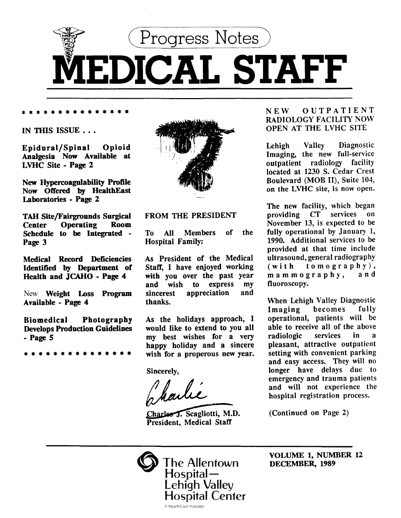

\* \* \* \* \* \* • • • • • • • • •

IN THIS ISSUE ...

Epidural/Spinal Opioid Analgesia Now Available at LVHC Site- Page 2

New Hypercoagolability Profile Now Offered by HealthEast Laboratories - Page 2

TAH Site/Fairgrounds Surgical Center Operating Schedule to be Integrated - Page 3

Medical Record Deficiencies Identified by Department of Health and JCAHO- Page 4

New Weight Loss Program Available - Page 4

Biomedical Photography Develops Production Guidelines -Page 5

\* • • • • • • • • • • • • • •



### FROM THE PRESIDENT

To All Members of the Hospital Family:

As President of the Medical Staff, I have enjoyed working with you over the past year and wish to express my sincerest appreciation and thanks.

As the holidays approach, I would like to extend to you all my best wishes for a very happy holiday and a sincere wish for a properous new year.

Sincerely,

Jharlie

Charles J. Scagliotti, M.D. President, Medical Staff

# NEW OUTPATIENT RADIOLOGY FACILITY NOW OPEN AT THE LVHC SITE

Lehigh Valley Diagnostic Imaging, the new full-service outpatient radiology facility located at 1230 S. Cedar Crest Boulevard (MOB II), Suite 104, on the LVHC site, is now open.

The new facility, which began<br>providing CT services on providing CT November 13, is expected to be fully operational by January 1, 1990. Additional services to be provided at that time include ultrasound, general radiography  $(with to mography),$ <br>mammography, and mammography, fluoroscopy.

When Lehigh Valley Diagnostic Imaging becomes fully operational, patients will be able to receive all of the above radiologic services in a pleasant, attractive outpatient setting with convenient parking and easy access. They will no longer have delays due to emergency and trauma patients and will not experience the hospital registration process.

(Continued on Page 2)



VOLUME 1, NUMBER 12 DECEMBER, 1989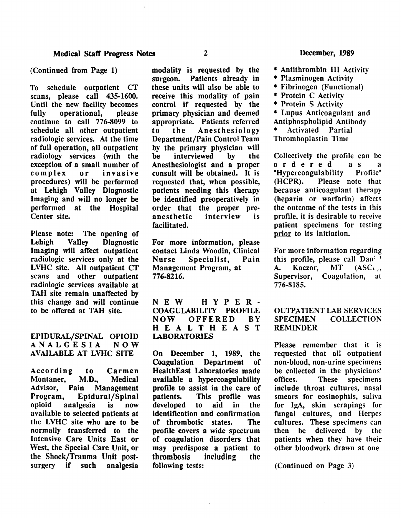#### (Continued from Page 1)

To schedule outpatient Cf scans, please call 435-1600. Until the new facility becomes<br>fully operational, please operational, continue to call 776-8099 to schedule all other outpatient radiologic services. At the time of full operation, all outpatient radiology services (with the exception of a small number of<br>complex or invasive or invasive procedures) will be performed at Lehigh Valley Diagnostic Imaging and will no longer be performed at the Hospital Center site.

Please note: The opening of<br>Lehigh Valley Diagnostic Lehigh Valley Diagnostic Imaging will affect outpatient radiologic services only at the LVHC site. All outpatient CT scans and other outpatient radiologic services available at TAH site remain unaffected by this change and will continue to be offered at TAH site.

EPIDURAL/SPINAL OPIOID<br>A N A L G E S I A N O W ANALGESIA AVAILABLE AT LVHC SITE

According to Carmen Montaner, M.D., Medical<br>Advisor, Pain Management **Management** Program, Epidural/Spinal<br>opioid analgesia is now analgesia is now available to selected patients at the LVHC site who are to be normally transferred to the Intensive Care Units East or West, the Special Care Unit, or the Shock/Trauma Unit postsurgery if such analgesia

modality is requested by the surgeon. Patients already in these units will also be able to receive this modality of pain control if requested by the primary physician and deemed appropriate. Patients referred to the Anesthesiology Department/Pain Control Team by the primary physician will<br>be interviewed by the interviewed Anesthesiologist and a proper consult will be obtained. It is requested that, when possible, patients needing this therapy be identified preoperatively in order that the proper pre-<br>anesthetic interview is anesthetic facilitated.

For . more information, please contact Linda Woodin, Clinical Nurse Specialist, Pain Management Program, at 776-8216.

NEW HYPER-COAGULABILITY PROFILE<br>NOW OFFERED BY OFFERED BY H E A L T H E A S T LABORATORIES

On December 1, 1989, the Coagulation Department of HealthEast Laboratories made available a hypercoagulability profile to assist in the care of patients. This profile was developed to aid in the identification and confirmation of thrombotic states. The profile covers a wide spectrum of coagulation disorders that may predispose a patient to thrombosis including the following tests:

- \* Antithrombin III Activity
- \* Plasminogen Activity
- \* Fibrinogen (Functional)
- \* Protein C Activity
- \* Protein S Activity
- \* Lupus Anticoagulant and Antiphospholipid Antibody
- Activated Partial

Thromboplastin Time

Collectively the profile can be<br>ordered as a<br>" "Hypercoagulability Profile"<br>(HCPR), Please note that Please note that because anticoagulant therapy (heparin or warfarin) affects the outcome of the tests in this profile, it is desirable to receive patient specimens for testing prior to its initiation.

For more information regarding this profile, please call  $Dan^{(-1)}$ A. Kaczor, MT  $(ASC<sub>1</sub>),$ Supervisor, Coagulation, at 776-8185.

# OUTPATIENT LAB SERVICES SPECIMEN COLLECTION REMINDER

Please remember that it is requested that all outpatient non-blood, non-urine specimens be collected in the physicians' offices. These specimens include throat cultures, nasal smears for eosinophils, saliva for lgA, skin scrapings for fungal cultures, and Herpes cultures. These specimens can then be delivered by the patients when they have their other bloodwork drawn at one

(Continued on Page 3)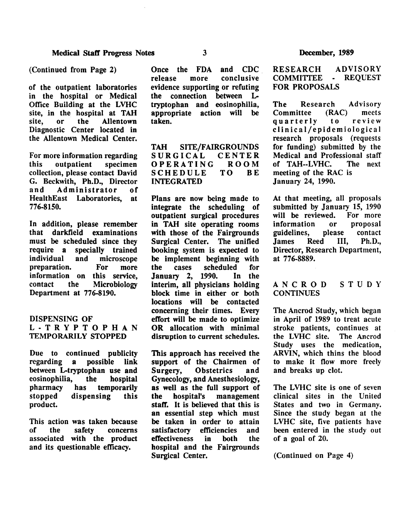of the outpatient laboratories in the hospital or Medical Office Building at the LVHC site, in the hospital at TAH<br>site, or the Allentown Allentown Diagnostic Center located in the Allentown Medical Center.

For more information regarding this outpatient specimen collection, please contact David G. Beckwith, Ph.D., Director Administrator of HealthEast Laboratories, at 776-8150.

In addition, please remember that darkfield examinations must be scheduled since they<br>require a specially trained require a specially trained<br>individual and microscope and microscope<br>For more preparation. For more information on this service,<br>contact the Microbiology **Microbiology** Department at 776-8190.

# DISPENSING OF L-TRYPTOPHAN TEMPORARILY STOPPED

Due to continued publicity<br>regarding a possible link a possible link between L-tryptophan use and eosinophilia, the hospital pharmacy has temporarily<br>stopped dispensing this dispensing this product.

This action was taken because of the safety concerns associated with the product and its questionable efficacy.

Once the FDA and CDC<br>release more conclusive more conclusive evidence supporting or refuting<br>the connection between Lthe connection tryptophan and eosinophilia, appropriate action will taken.

TAH SITE/FAIRGROUNDS<br>SURGICAL CENTER SURGICAL CENTER<br>OPERATING ROOM OPERATING ROOM<br>SCHEDULE TO BE SCHEDULE INTEGRATED

Plans are now being made to integrate the scheduling of outpatient surgical procedures in TAH site operating rooms with those of the Fairgrounds Surgical Center. The unified booking system is expected to be implement beginning with<br>the cases scheduled for cases scheduled January 2, 1990. In the interim, all physicians holding block time in either or both locations will be contacted concerning their times. Every effort will be made to optimize OR allocation with minimal disruption to current schedules.

This approach has received the support of the Chairmen of Surgery, Obstetrics and Gynecology, and Anesthesiology, as well as the full support of<br>the hospital's management the hospital's management staff. It is believed that this is an essential step which must be taken in order to attain satisfactory efficiencies and effectiveness in both the hospital and the Fairgrounds Surgical Center.

#### ADVISORY COMMITTEE - REQUEST RESEARCH FOR PROPOSALS

The Research Advisory<br>Committee (RAC) meets Committee (RAC) meets quarterly eli n ica 1/ epidemiologica I research proposals (requests for funding) submitted by the Medical and Professional staff<br>of TAH--LVHC. The next of TAH--LVHC. meeting of the RAC is January 24, 1990.

At that meeting, all proposals submitted by January 15, 1990<br>will be reviewed. For more will be reviewed. For more<br>information or proposal information or proposal<br>guidelines, please contact guidelines, please contact<br>James Reed III, Ph.D., **James** Director, Research Department, at 776-8889.

#### ANCROD **CONTINUES** STUDY

The Ancrod Study, which began in April of 1989 to treat acute stroke patients, continues at<br>the LVHC site. The Ancrod the LVHC site. Study uses the medication, ARVIN, which thins the blood to make it flow more freely and breaks up clot.

The LVHC site is one of seven clinical sites in the United States and two in Germany. Since the study began at the LVHC site, five patients have been entered in the study out of a goal of 20.

(Continued on Page 4)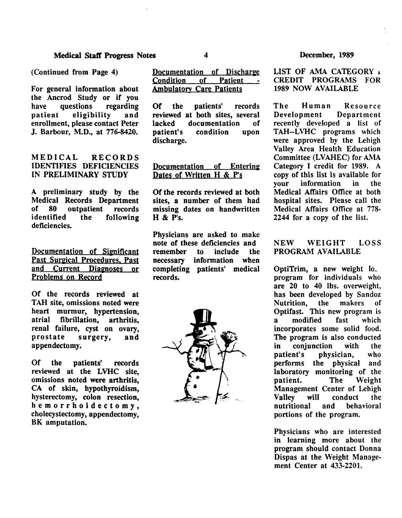(Continued from Page 4)

For general information about the Ancrod Study or if you<br>have questions regarding have questions patient eligibility and enrollment, please contact Peter J. Barbour, M.D., at 776-8420.

MEDICAL RECORDS IDENTIFIES DEFICIENCIES IN PRELIMINARY STUDY

A preliminary study by the Medical Records Department of 80 outpatient records<br>
identified the following the following deficiencies.

Documentation of Significant Past Surgical Procedures. Past and Current Diagnoses or Problems on Record

Of the records reviewed at TAH site, omissions noted were heart murmur, hypertension, atrial fibrillation, arthritis, renal failure, cyst on ovary, prostate surgery, and appendectomy.

Of the patients' records reviewed at the LVHC site, omissions noted were arthritis, CA of skin, hypothyroidism, hysterectomy, colon resection, hemorrhoidectomy, cholecystectomy, appendectomy, BK amputation.

Documentation of Discharge Condition of Patient -**Ambulatory Care Patients** 

Of the patients' records reviewed at both sites, several lacked documentation of patient's condition upon discharge.

# Documentation of Entering Dates of Written H & P's

Of the records reviewed at both sites, a number of them had missing dates on handwritten H & P's.

Physicians are asked to make note of these deficiencies and remember to include the necessary information when completing patients' medical records.



### December, 1989

LIST OF AMA CATEGORY 1 CREDIT PROGRAMS FOR 1989 NOW AVAILABLE

The Human Resource Development Department recently developed a list of TAH--LVHC programs which were approved by the Lehigh Valley Area Health Education Committee (LVAHEC) for AMA Category I credit for 1989. A copy of this list is available for your information in the Medical Affairs Office at both hospital sites. Please call the Medical Affairs Office at 778- 2244 for a copy of the list.

# NEW WEIGHT LOSS PROGRAM AVAILABLE

Opti $T$ rim, a new weight  $I_0$ . program for individuals who are 20 to 40 lbs. overweight, has been developed by Sandoz Nutrition, the makers of Optifast. This new program is a modified fast which incorporates some solid food. The program is also conducted in conjunction with the patient's physician, who performs the physical and laboratory monitoring of the patient. The Weight Management Center of Lehigh Valley will conduct the nutritional and behavioral portions of the program.

Physicians who are interested in learning more about the program should contact Donna Dispas at the Weight Management Center at 433-2201.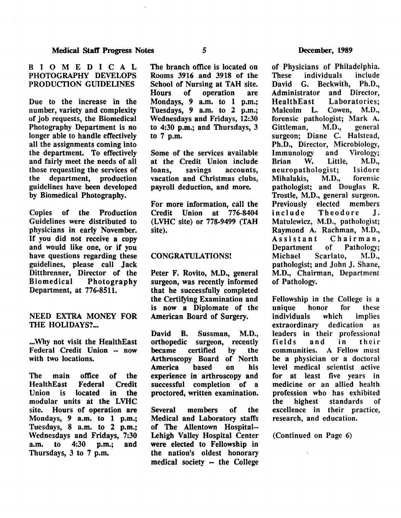# BIOMEDICAL PHOTOGRAPHY DEVELOPS PRODUCTION GUIDELINES

Due to the increase in the number, variety and complexity of job requests, the Biomedical Photography Department is no longer able to handle effectively all the assignments coming into the department. To effectively and fairly meet the needs of all those requesting the services of the department, production guidelines have been developed by Biomedical Photography.

Copies of the Production Guidelines were distributed to physicians in early November. If you did not receive a copy and would like one, or if you have questions regarding these guidelines, please call Jack Dittbrenner, Director of the Biomedical Photography Department, at 776-8511.

# NEED EXTRA MONEY FOR THE HOLIDAYS?...

...Why not visit the HealthEast Federal Credit Union -- now with two locations.

The main office of the HealthEast Federal Credit Union is located in the modular units at the LVHC site. Hours of operation are Mondays, 9 a.m. to 1 p.m.; Tuesdays, 8 a.m. to 2 p.m.; Wednesdays and Fridays, 7:30 a.m. to 4:30 p.m.; and Thursdays, 3 to 7 p.m.

The branch office is located on Rooms 3916 and 3918 of the School of Nursing at TAH site.<br>Hours of operation are operation Mondays, *9* a.m. to 1 p.m.; Tuesdays, *9* a.m. to 2 p.m.; Wednesdays and Fridays, 12:30 to 4:30 p.m.; and Thursdays, 3 to 7 p.m.

Some of the services available at the Credit Union include<br>loans. savings accounts, accounts. vacation and Christmas clubs, payroll deduction, and more.

For more information, call the<br>Credit Union at 776-8404 Credit Union at (LVHC site) or 778-9499 (TAH site).

# CONGRATULATIONS!

Peter F. Rovito, M.D., general surgeon, was recently informed that he successfully completed the Certifying Examination and is now a Diplomate or the American Board of Surgery.

David B. Sussman, M.D., orthopedic surgeon, recently became certified by the Arthroscopy Board of North America based on his experience in arthroscopy and successful completion of a proctored, written examination.

Several members of the Medical and Laboratory staffs of The Allentown Hospital-- Lehigh Valley Hospital Center were elected to Fellowship in the nation's oldest honorary medical society -- the College

of Physicians of Philadelphia.<br>These individuals include These individuals<br>David G. Beckwit David G. Beckwith, Ph.D.,<br>Administrator and Director. and Director. HealthEast Laboratories;<br>Malcolm L. Cowen, M.D., Cowen, M.D., forensic pathologist; Mark A.<br>Gittleman. M.D.. general Gittleman, surgeon; Diane C. Halstead, Ph.D., Director, Microbiology,<br>Immunology and Virology; Immunology and Virology;<br>Rrian W. Little, M.D., W. Little, M.D.,<br>thologist: Isidore neuropathologist; Isidore<br>Mihalakis. M.D.. forensic Mihalakis. pathologist; and Douglas R. Trostle, M.D., general surgeon.<br>Previously elected members Previously elected members<br>include Theodore J. Theodore J. Matulewicz, M.D., pathologist; Raymond A. Rachman, M.D., Assistant Chairman,<br>Department of Pathology: Department Michael Scarlato, M.D., pathologist; and John J. Shane, M.D., Chairman, Department of Pathology.

Fellowship in the College is a unique honor for these individuals which implies extraordinary dedication as leaders in their professional<br>fields and in their fields and in their communities. A Fellow must be a physician or a doctoral level medical scientist active for at least five years in medicine or an allied health profession who has exhibited the highest standards of excellence in their practice, research, and education.

(Continued on Page 6)

 $\mathbf{r}$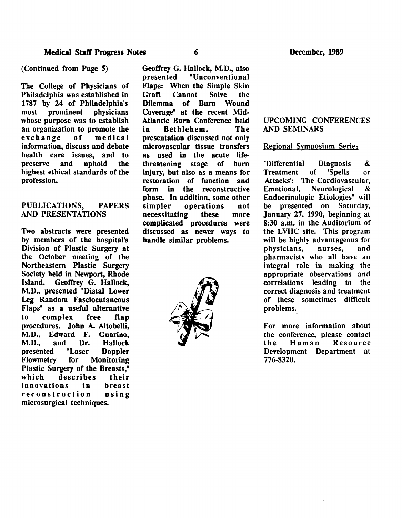### (Continued from Page 5)

The College of Physicians of Philadelphia was established in 1787 by 24 of Philadelphia's<br>most prominent physicians most prominent whose purpose was to establish an organization to promote the exchange of medical information, discuss and debate health care issues, and to preserve and uphold the highest ethical standards of the profession.

# PUBLICATIONS, PAPERS AND PRESENTATIONS

Two abstracts were presented by members of the hospital's Division of Plastic Surgery at the October meeting of the Northeastern Plastic Surgery Society held in Newport, Rhode Island. Geoffrey G. Hallock, M.D., presented "Distal Lower Leg Random Fasciocutaneous Flaps" as a useful alternative to complex free flap procedures. John A. Altobelli, M.D., Edward F. Guarino, M.D., and Dr. Hallock presented "Laser Doppler<br>Flowmetry for Monitoring for Monitoring Plastic Surgery of the Breasts," describes their<br>
ons in breast innovations reconstruction using microsurgical techniques.

Geoffrey G. Hallock, M.D., also presented "Unconventional Flaps: When the Simple Skin<br>Graft Cannot Solve the Cannot Solve the Dilemma of Burn Wound Coverage" at the recent Mid-Atlantic Burn Conference held<br>in Bethlehem. The in Bethlehem. presentation discussed not only microvascular tissue transfers as used in the acute lifethreatening stage of burn injury, but also as a means for restoration of function and form in the reconstructive phase. In addition, some other<br>simpler operations not operations not necessitating these more complicated procedures were discussed as newer ways to handle similar problems.



# UPCOMING CONFERENCES AND SEMINARS

### Regional Symposium Series

"Differential Diagnosis & Treatment of 'Spells' or 'Attacks': The Cardiovascular, Emotional, Neurological & Endocrinologic Etiologies" will be presented on Saturday, January 27, 1990, beginning at 8:30 a.m. in the Auditorium of the LVHC site. This program will be highly advantageous for<br>physicians, nurses, and physicians, nurses, and pharmacists who all have an integral role in making the appropriate observations and correlations leading to the correct diagnosis and treatment of these sometimes difficult problems.

For more information about the conference, please contact<br>the Human Resource the Human Resource Development Department at 776-8320.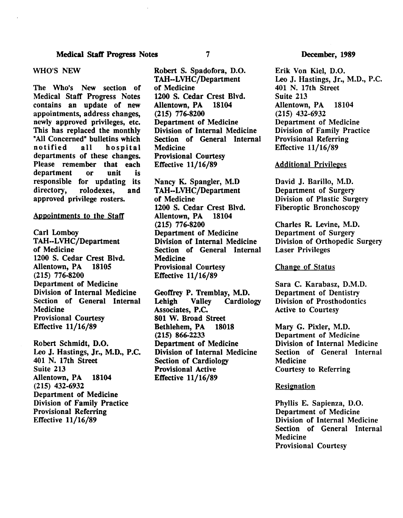### Medical Staff Progress Notes 7

### WHO'S NEW

The Who's New section of Medical Staff Progress Notes contains an update of new appointments, address changes, newly approved privileges, etc. This has replaced the monthly "All Concerned" bulletins which<br>notified all hospital all hospital departments of these changes. Please remember that each department or unit is responsible for updating its<br>directory, rolodexes, and rolodexes, and approved privilege rosters.

#### Appointments to the Staff

Carl Lomboy TAH--LVHC/Department of Medicine 1200 S. Cedar Crest Blvd.<br>Allentown. PA 18105 Allentown, PA (215) 776-8200 Department of Medicine Division of Internal Medicine Section of General Internal Medicine Provisional Courtesy Effective 11/16/89

Robert Schmidt, D.O. Leo J. Hastings, Jr., M.D., P.C. 401 N. 17th Street Suite 213 Allentown, PA 18104 (215) 432-6932 Department of Medicine Division of Family Practice Provisional Referring Effective 11/16/89

Robert S. Spadofora, D.O. TAH--LVHC/Department of Medicine 1200 S. Cedar Crest Blvd.<br>Allentown, PA 18104 Allentown, PA (215) 776-8200 Department of Medicine Division of Internal Medicine Section of General Internal **Medicine** Provisional Courtesy Effective 11/16/89

Nancy K. Spangler, M.D TAH--LVHC/Department of Medicine 1200 S. Cedar Crest Blvd.<br>Allentown, PA 18104 Allentown, PA (215) 776-8200 Department of Medicine Division of Internal Medicine Section of General Internal Medicine Provisional Courtesy Effective 11/16/89

Geoffrey P. Tremblay, M.D. Lehigh Valley Cardiology Associates, P.C. 801 W. Broad Street Bethlehem, PA 18018 (215) 866-2233 Department of Medicine Division of Internal Medicine Section of Cardiology Provisional Active Effective 11/16/89

#### December, 1989

Erik Von Kiel, D.O. Leo J, Hastings, Jr., M.D., P.C. 401 N. 17th Street Suite 213 Allentown, PA 18104 (215) 432-6932 Department of Medicine Division of Family Practice Provisional Referring Effective 11/16/89

### **Additional Privileges**

David J, Barillo, M.D. Department of Surgery Division of Plastic Surgery Fiberoptic Bronchoscopy

Charles R. Levine, M.D. Department of Surgery Division of Orthopedic Surgery Laser Privileges

### **Change of Status**

Sara C. Karabasz, D.M.D. Department of Dentistry Division of Prosthodontics Active to Courtesy

Mary G. Pixler, M.D. Department of Medicine Division of Internal Medicine Section of General Internal Medicine Courtesy to Referring

#### Resignation

Phyllis E. Sapienza, D.O. Department of Medicine Division of Internal Medicine Section of General Internal Medicine Provisional Courtesy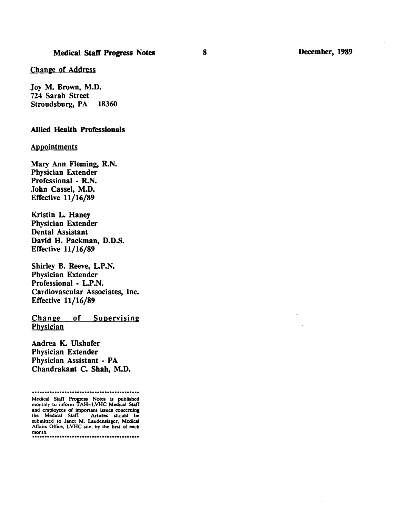#### Change of Address

Joy M. Brown, M.D. 724 Sarah Street Stroudsburg, PA 18360

#### Allied Health Professionals

### **Appointments**

Mary Ann Fleming, R.N. Physician Extender Professional - R.N. John Cassel, M.D. Effective 11/16/89

Kristin L. Haney Physician Extender Dental Assistant David H. Packman, D.D.S. Effective 11/16/89

Shirley B. Reeve, L.P.N. Physician Extender Professional • L.P.N. Cardiovascular Associates, Inc. Effective 11/16/89

Change of Supervising **Physician** 

Andrea K. Ulshafer Physician Extender Physician Assistant - PA Chandrakant C. Shah, M.D.

<sup>...................•.........•.•....••...••</sup>  Medical Staff Progress Notes is published monthly to inform TAH-LVHC Medical Staff and employees of important issues concerning the Medical Staff. Articles should be submitted to Janet M. Laudenslager, Medical Affairs Office, LVHC site, by the first of each month. mont b . .................................•....•...•